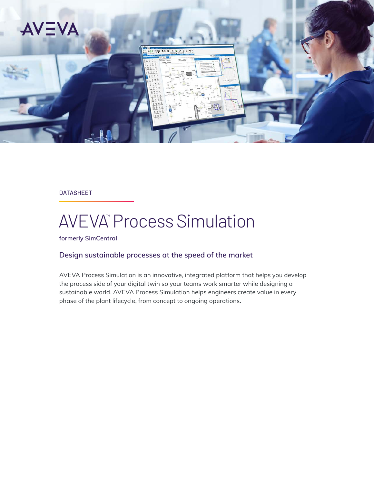

#### DATASHEET

# **AVEVA<sup>®</sup>** Process Simulation

**formerly SimCentral**

# **Design sustainable processes at the speed of the market**

AVEVA Process Simulation is an innovative, integrated platform that helps you develop the process side of your digital twin so your teams work smarter while designing a sustainable world. AVEVA Process Simulation helps engineers create value in every phase of the plant lifecycle, from concept to ongoing operations.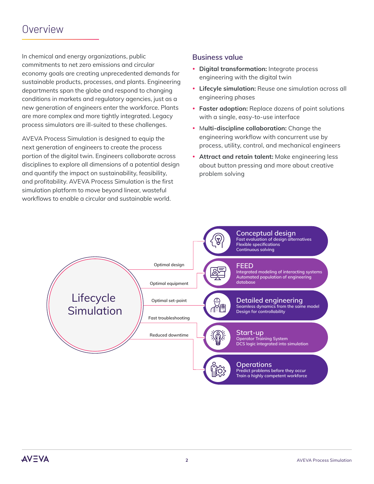# Overview

In chemical and energy organizations, public commitments to net zero emissions and circular economy goals are creating unprecedented demands for sustainable products, processes, and plants. Engineering departments span the globe and respond to changing conditions in markets and regulatory agencies, just as a new generation of engineers enter the workforce. Plants are more complex and more tightly integrated. Legacy process simulators are ill-suited to these challenges.

AVEVA Process Simulation is designed to equip the next generation of engineers to create the process portion of the digital twin. Engineers collaborate across disciplines to explore all dimensions of a potential design and quantify the impact on sustainability, feasibility, and profitability. AVEVA Process Simulation is the first simulation platform to move beyond linear, wasteful workflows to enable a circular and sustainable world.

## **Business value**

- **Digital transformation:** Integrate process engineering with the digital twin
- **Lifecyle simulation:** Reuse one simulation across all engineering phases
- **Faster adoption:** Replace dozens of point solutions with a single, easy-to-use interface
- **Multi-discipline collaboration:** Change the engineering workflow with concurrent use by process, utility, control, and mechanical engineers
- **Attract and retain talent:** Make engineering less about button pressing and more about creative problem solving

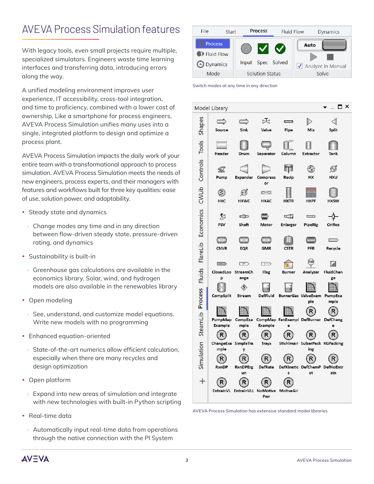# AVEVA Process Simulation features

With legacy tools, even small projects require multiple, specialized simulators. Engineers waste time learning interfaces and transferring data, introducing errors along the way.

A unified modeling environment improves user experience, IT accessibility, cross-tool integration, and time to proficiency, combined with a lower cost of ownership. Like a smartphone for process engineers, AVEVA Process Simulation unifies many uses into a single, integrated platform to design and optimize a process plant.

AVEVA Process Simulation impacts the daily work of your entire team with a transformational approach to process simulation. AVEVA Process Simulation meets the needs of new engineers, process experts, and their managers with features and workflows built for three key qualities: ease of use, solution power, and adaptability.

- Steady state and dynamics
	- · Change modes any time and in any direction between flow-driven steady state, pressure-driven rating, and dynamics
- Sustainability is built-in
	- · Greenhouse gas calculations are available in the economics library. Solar, wind, and hydrogen models are also available in the renewables library
- Open modeling
	- · See, understand, and customize model equations. Write new models with no programming
- Enhanced equation-oriented
	- · State-of-the-art numerics allow efficient calculation, especially when there are many recycles and design optimization
- Open platform
	- Expand into new areas of simulation and integrate with new technologies with built-in Python scripting
- Real-time data
	- · Automatically input real-time data from operations through the native connection with the PI System



Switch modes at any time in any direction



AVEVA Process Simulation has extensive standard model libraries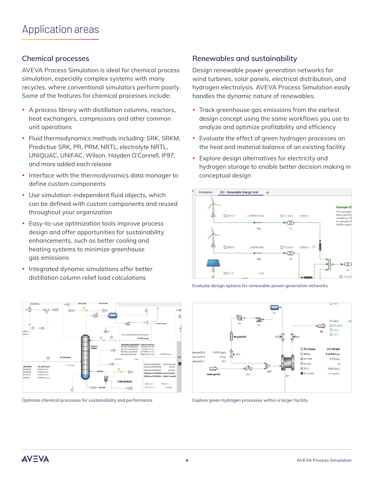# **Chemical processes**

AVEVA Process Simulation is ideal for chemical process simulation, especially complex systems with many recycles, where conventional simulators perform poorly. Some of the features for chemical processes include:

- A process library with distillation columns, reactors, heat exchangers, compressors and other common unit operations
- Fluid thermodynamics methods including: SRK, SRKM, Predictive SRK, PR, PRM, NRTL, electrolyte NRTL, UNIQUAC, UNIFAC, Wilson, Hayden O'Connell, IF97, and more added each release
- Interface with the thermodynamics data manager to define custom components
- Use simulation-independent fluid objects, which can be defined with custom components and reused throughout your organization
- Easy-to-use optimization tools improve process design and offer opportunities for sustainability enhancements, such as better cooling and heating systems to minimize greenhouse gas emissions
- Integrated dynamic simulations offer better distillation column relief load calculations



Optimize chemical processes for sustainability and performance Explore green hydrogen processes within a larger facility

# **Renewables and sustainability**

Design renewable power generation networks for wind turbines, solar panels, electrical distribution, and hydrogen electrolysis. AVEVA Process Simulation easily handles the dynamic nature of renewables.

- Track greenhouse gas emissions from the earliest design concept using the same workflows you use to analyze and optimize profitability and efficiency
- Evaluate the effect of green hydrogen processes on the heat and material balance of an existing facility
- Explore design alternatives for electricity and hydrogen storage to enable better decision making in conceptual design





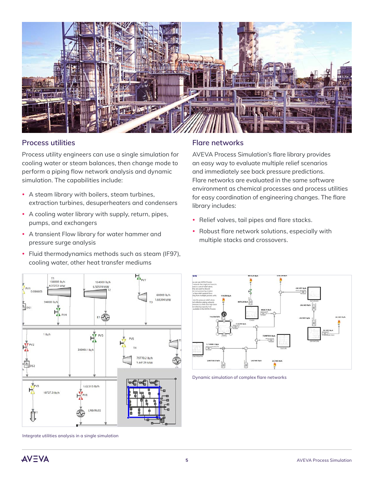

#### **Process utilities**

Process utility engineers can use a single simulation for cooling water or steam balances, then change mode to perform a piping flow network analysis and dynamic simulation. The capabilities include:

- A steam library with boilers, steam turbines, extraction turbines, desuperheaters and condensers
- A cooling water library with supply, return, pipes, pumps, and exchangers
- A transient Flow library for water hammer and pressure surge analysis
- Fluid thermodynamics methods such as steam (IF97), cooling water, other heat transfer mediums



AVEVA Process Simulation's flare library provides an easy way to evaluate multiple relief scenarios and immediately see back pressure predictions. Flare networks are evaluated in the same software environment as chemical processes and process utilities for easy coordination of engineering changes. The flare library includes:

- Relief valves, tail pipes and flare stacks.
- Robust flare network solutions, especially with multiple stacks and crossovers.



24.1451

Dynamic simulation of complex flare networks

Integrate utilities analysis in a single simulation

**AVEVA**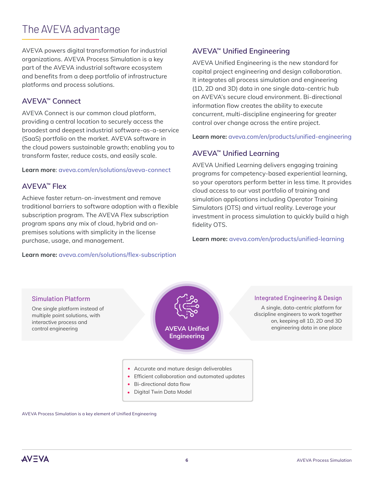# The AVEVA advantage

AVEVA powers digital transformation for industrial organizations. AVEVA Process Simulation is a key part of the AVEVA industrial software ecosystem and benefits from a deep portfolio of infrastructure platforms and process solutions.

# **AVEVA™ Connect**

AVEVA Connect is our common cloud platform, providing a central location to securely access the broadest and deepest industrial software-as-a-service (SaaS) portfolio on the market. AVEVA software in the cloud powers sustainable growth; enabling you to transform faster, reduce costs, and easily scale.

#### **Learn more**: [aveva.com/en/solutions/aveva-connect](https://www.aveva.com/en/solutions/aveva-connect/)

## **AVEVA™ Flex**

Achieve faster return-on-investment and remove traditional barriers to software adoption with a flexible subscription program. The AVEVA Flex subscription program spans any mix of cloud, hybrid and onpremises solutions with simplicity in the license purchase, usage, and management.

**Learn more:** [aveva.com/en/solutions/flex-subscription](https://www.aveva.com/en/solutions/flex-subscription/)

# **AVEVA™ Unified Engineering**

AVEVA Unified Engineering is the new standard for capital project engineering and design collaboration. It integrates all process simulation and engineering (1D, 2D and 3D) data in one single data-centric hub on AVEVA's secure cloud environment. Bi-directional information flow creates the ability to execute concurrent, multi-discipline engineering for greater control over change across the entire project.

**Learn more:** [aveva.com/en/products/unified-engineering](https://www.aveva.com/en/products/unified-engineering/)

# **AVEVA™ Unified Learning**

AVEVA Unified Learning delivers engaging training programs for competency-based experiential learning, so your operators perform better in less time. It provides cloud access to our vast portfolio of training and simulation applications including Operator Training Simulators (OTS) and virtual reality. Leverage your investment in process simulation to quickly build a high fidelity OTS.

**Learn more:** [aveva.com/en/products/unified-learning](https://www.aveva.com/en/products/unified-learning/)

#### Simulation Platform

One single platform instead of multiple point solutions, with interactive process and control engineering

**AVEVA Unified Engineering**

#### Integrated Engineering & Design

A single, data-centric platform for discipline engineers to work together on, keeping all 1D, 2D and 3D engineering data in one place

- Accurate and mature design deliverables
- Efficient collaboration and automated updates
- Bi-directional data flow
- Digital Twin Data Model

AVEVA Process Simulation is a key element of Unified Engineering